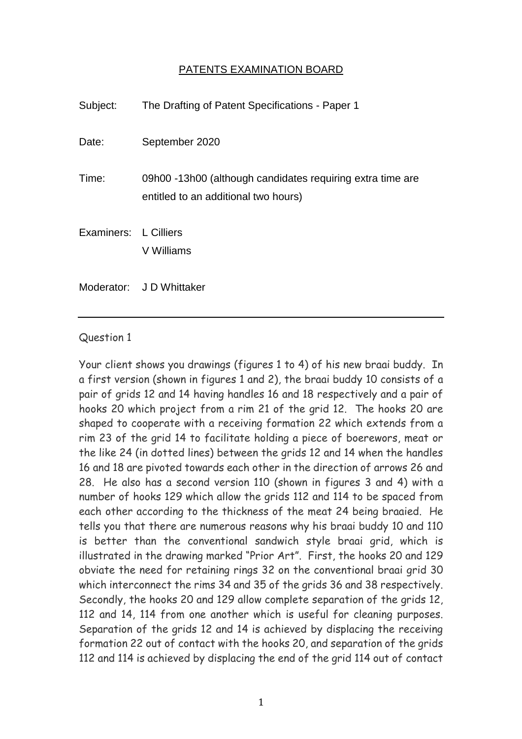## PATENTS EXAMINATION BOARD

| Subject:              | The Drafting of Patent Specifications - Paper 1                                                    |
|-----------------------|----------------------------------------------------------------------------------------------------|
| Date:                 | September 2020                                                                                     |
| Time:                 | 09h00 -13h00 (although candidates requiring extra time are<br>entitled to an additional two hours) |
| Examiners: L Cilliers | V Williams                                                                                         |
|                       | Moderator: JD Whittaker                                                                            |

## Question 1

Your client shows you drawings (figures 1 to 4) of his new braai buddy. In a first version (shown in figures 1 and 2), the braai buddy 10 consists of a pair of grids 12 and 14 having handles 16 and 18 respectively and a pair of hooks 20 which project from a rim 21 of the grid 12. The hooks 20 are shaped to cooperate with a receiving formation 22 which extends from a rim 23 of the grid 14 to facilitate holding a piece of boerewors, meat or the like 24 (in dotted lines) between the grids 12 and 14 when the handles 16 and 18 are pivoted towards each other in the direction of arrows 26 and 28. He also has a second version 110 (shown in figures 3 and 4) with a number of hooks 129 which allow the grids 112 and 114 to be spaced from each other according to the thickness of the meat 24 being braaied. He tells you that there are numerous reasons why his braai buddy 10 and 110 is better than the conventional sandwich style braai grid, which is illustrated in the drawing marked "Prior Art". First, the hooks 20 and 129 obviate the need for retaining rings 32 on the conventional braai grid 30 which interconnect the rims 34 and 35 of the grids 36 and 38 respectively. Secondly, the hooks 20 and 129 allow complete separation of the grids 12, 112 and 14, 114 from one another which is useful for cleaning purposes. Separation of the grids 12 and 14 is achieved by displacing the receiving formation 22 out of contact with the hooks 20, and separation of the grids 112 and 114 is achieved by displacing the end of the grid 114 out of contact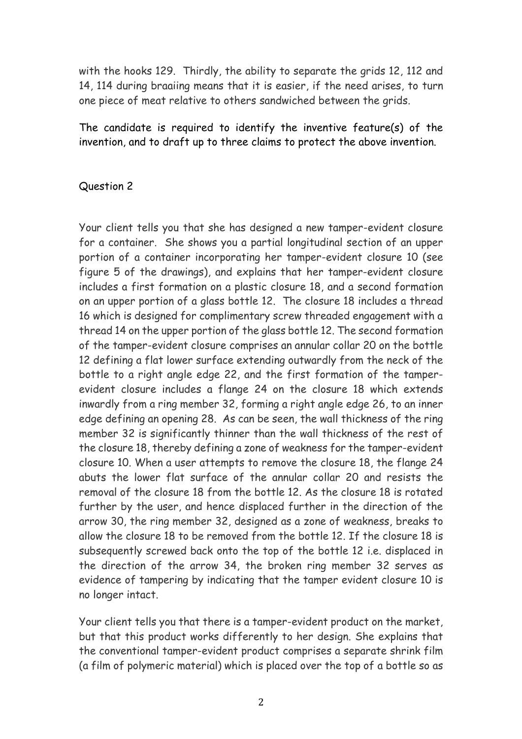with the hooks 129. Thirdly, the ability to separate the grids 12, 112 and 14, 114 during braaiing means that it is easier, if the need arises, to turn one piece of meat relative to others sandwiched between the grids.

The candidate is required to identify the inventive feature(s) of the invention, and to draft up to three claims to protect the above invention.

## Question 2

Your client tells you that she has designed a new tamper-evident closure for a container. She shows you a partial longitudinal section of an upper portion of a container incorporating her tamper-evident closure 10 (see figure 5 of the drawings), and explains that her tamper-evident closure includes a first formation on a plastic closure 18, and a second formation on an upper portion of a glass bottle 12. The closure 18 includes a thread 16 which is designed for complimentary screw threaded engagement with a thread 14 on the upper portion of the glass bottle 12. The second formation of the tamper-evident closure comprises an annular collar 20 on the bottle 12 defining a flat lower surface extending outwardly from the neck of the bottle to a right angle edge 22, and the first formation of the tamperevident closure includes a flange 24 on the closure 18 which extends inwardly from a ring member 32, forming a right angle edge 26, to an inner edge defining an opening 28. As can be seen, the wall thickness of the ring member 32 is significantly thinner than the wall thickness of the rest of the closure 18, thereby defining a zone of weakness for the tamper-evident closure 10. When a user attempts to remove the closure 18, the flange 24 abuts the lower flat surface of the annular collar 20 and resists the removal of the closure 18 from the bottle 12. As the closure 18 is rotated further by the user, and hence displaced further in the direction of the arrow 30, the ring member 32, designed as a zone of weakness, breaks to allow the closure 18 to be removed from the bottle 12. If the closure 18 is subsequently screwed back onto the top of the bottle 12 i.e. displaced in the direction of the arrow 34, the broken ring member 32 serves as evidence of tampering by indicating that the tamper evident closure 10 is no longer intact.

Your client tells you that there is a tamper-evident product on the market, but that this product works differently to her design. She explains that the conventional tamper-evident product comprises a separate shrink film (a film of polymeric material) which is placed over the top of a bottle so as